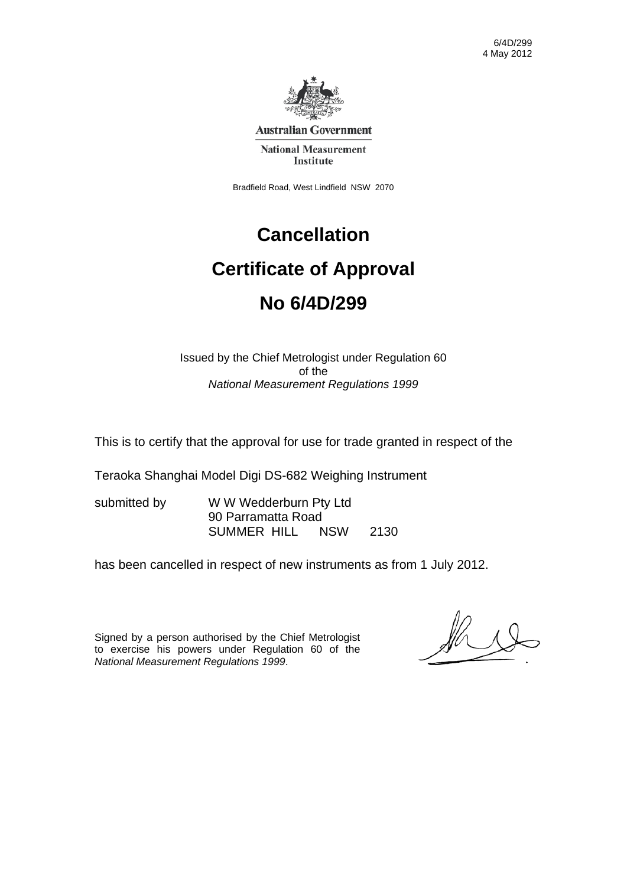6/4D/299 4 May 2012



**Australian Government** 

**National Measurement** Institute

Bradfield Road, West Lindfield NSW 2070

# **Cancellation Certificate of Approval No 6/4D/299**

Issued by the Chief Metrologist under Regulation 60 of the *National Measurement Regulations 1999* 

This is to certify that the approval for use for trade granted in respect of the

Teraoka Shanghai Model Digi DS-682 Weighing Instrument

submitted by WWW Wedderburn Pty Ltd 90 Parramatta Road SUMMER HILL NSW 2130

has been cancelled in respect of new instruments as from 1 July 2012.

Signed by a person authorised by the Chief Metrologist to exercise his powers under Regulation 60 of the *National Measurement Regulations 1999*.

 $\mathbb{Z}$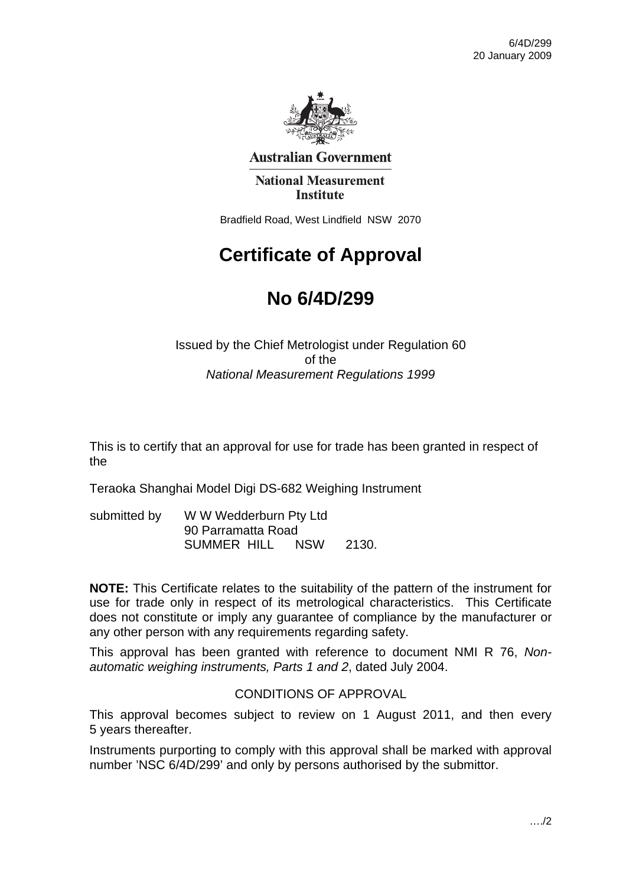

**Australian Government** 

**National Measurement Institute** 

Bradfield Road, West Lindfield NSW 2070

## **Certificate of Approval**

## **No 6/4D/299**

Issued by the Chief Metrologist under Regulation 60 of the *National Measurement Regulations 1999* 

This is to certify that an approval for use for trade has been granted in respect of the

Teraoka Shanghai Model Digi DS-682 Weighing Instrument

| submitted by | W W Wedderburn Pty Ltd |            |       |
|--------------|------------------------|------------|-------|
|              | 90 Parramatta Road     |            |       |
|              | SUMMER HILL            | <b>NSW</b> | 2130. |

**NOTE:** This Certificate relates to the suitability of the pattern of the instrument for use for trade only in respect of its metrological characteristics. This Certificate does not constitute or imply any guarantee of compliance by the manufacturer or any other person with any requirements regarding safety.

This approval has been granted with reference to document NMI R 76, *Nonautomatic weighing instruments, Parts 1 and 2*, dated July 2004.

#### CONDITIONS OF APPROVAL

This approval becomes subject to review on 1 August 2011, and then every 5 years thereafter.

Instruments purporting to comply with this approval shall be marked with approval number 'NSC 6/4D/299' and only by persons authorised by the submittor.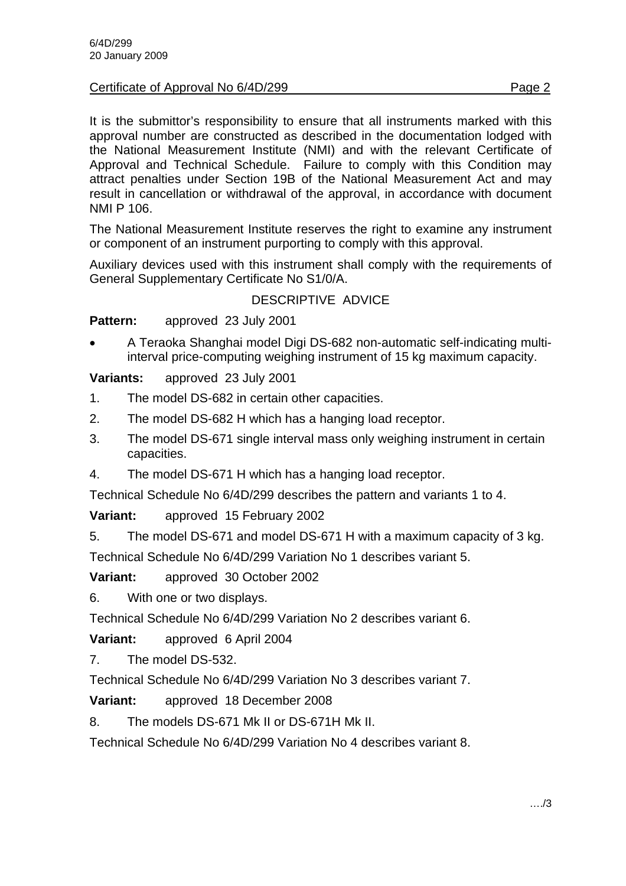#### Certificate of Approval No 6/4D/299 Page 2

It is the submittor's responsibility to ensure that all instruments marked with this approval number are constructed as described in the documentation lodged with the National Measurement Institute (NMI) and with the relevant Certificate of Approval and Technical Schedule. Failure to comply with this Condition may attract penalties under Section 19B of the National Measurement Act and may result in cancellation or withdrawal of the approval, in accordance with document NMI P 106.

The National Measurement Institute reserves the right to examine any instrument or component of an instrument purporting to comply with this approval.

Auxiliary devices used with this instrument shall comply with the requirements of General Supplementary Certificate No S1/0/A.

#### DESCRIPTIVE ADVICE

**Pattern:** approved 23 July 2001

• A Teraoka Shanghai model Digi DS-682 non-automatic self-indicating multiinterval price-computing weighing instrument of 15 kg maximum capacity.

**Variants:** approved 23 July 2001

- 1. The model DS-682 in certain other capacities.
- 2. The model DS-682 H which has a hanging load receptor.
- 3. The model DS-671 single interval mass only weighing instrument in certain capacities.
- 4. The model DS-671 H which has a hanging load receptor.

Technical Schedule No 6/4D/299 describes the pattern and variants 1 to 4.

**Variant:** approved 15 February 2002

5. The model DS-671 and model DS-671 H with a maximum capacity of 3 kg. Technical Schedule No 6/4D/299 Variation No 1 describes variant 5.

**Variant:** approved 30 October 2002

6. With one or two displays.

Technical Schedule No 6/4D/299 Variation No 2 describes variant 6.

**Variant:** approved 6 April 2004

7. The model DS-532.

Technical Schedule No 6/4D/299 Variation No 3 describes variant 7.

**Variant:** approved 18 December 2008

8. The models DS-671 Mk II or DS-671H Mk II.

Technical Schedule No 6/4D/299 Variation No 4 describes variant 8.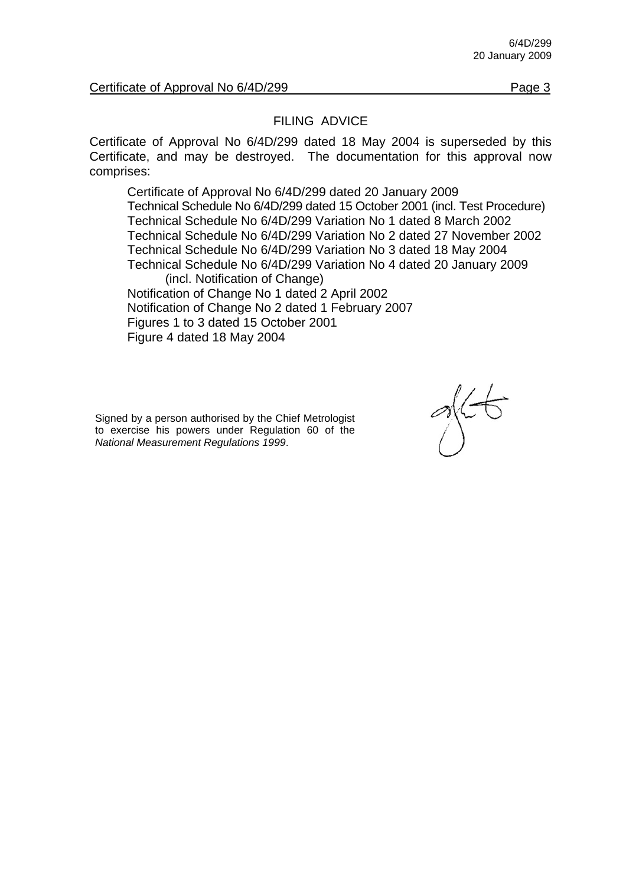Certificate of Approval No 6/4D/299 Page 3

#### FILING ADVICE

Certificate of Approval No 6/4D/299 dated 18 May 2004 is superseded by this Certificate, and may be destroyed. The documentation for this approval now comprises:

 Certificate of Approval No 6/4D/299 dated 20 January 2009 Technical Schedule No 6/4D/299 dated 15 October 2001 (incl. Test Procedure) Technical Schedule No 6/4D/299 Variation No 1 dated 8 March 2002 Technical Schedule No 6/4D/299 Variation No 2 dated 27 November 2002 Technical Schedule No 6/4D/299 Variation No 3 dated 18 May 2004 Technical Schedule No 6/4D/299 Variation No 4 dated 20 January 2009 (incl. Notification of Change) Notification of Change No 1 dated 2 April 2002 Notification of Change No 2 dated 1 February 2007 Figures 1 to 3 dated 15 October 2001

Figure 4 dated 18 May 2004

Signed by a person authorised by the Chief Metrologist to exercise his powers under Regulation 60 of the *National Measurement Regulations 1999*.

 $\sim$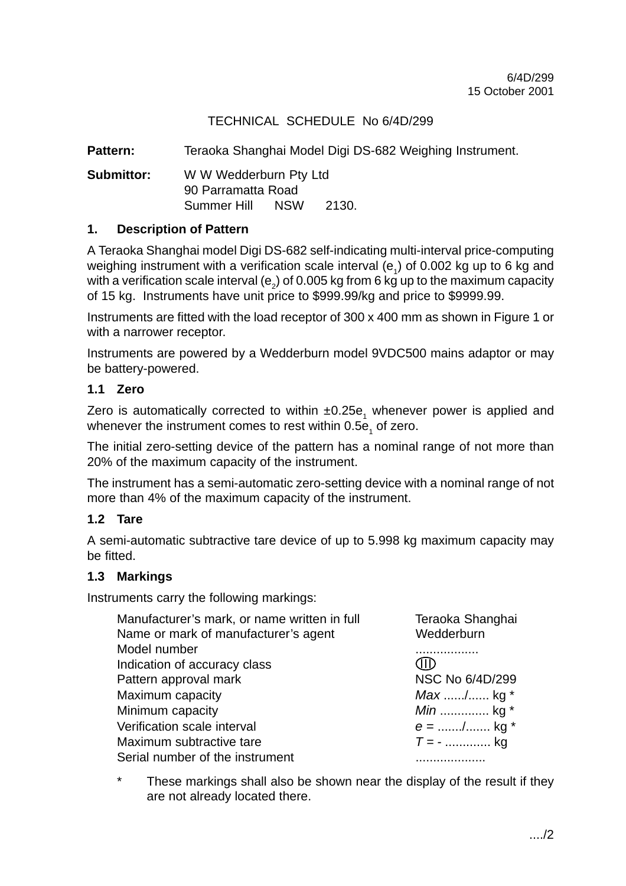Pattern: Teraoka Shanghai Model Digi DS-682 Weighing Instrument.

**Submittor:** W W Wedderburn Pty Ltd 90 Parramatta Road Summer Hill NSW 2130.

#### **1. Description of Pattern**

A Teraoka Shanghai model Digi DS-682 self-indicating multi-interval price-computing weighing instrument with a verification scale interval  $(e_1)$  of 0.002 kg up to 6 kg and with a verification scale interval (e<sub>2</sub>) of 0.005 kg from 6 kg up to the maximum capacity of 15 kg. Instruments have unit price to \$999.99/kg and price to \$9999.99.

Instruments are fitted with the load receptor of 300 x 400 mm as shown in Figure 1 or with a narrower receptor.

Instruments are powered by a Wedderburn model 9VDC500 mains adaptor or may be battery-powered.

#### **1.1 Zero**

Zero is automatically corrected to within  $\pm 0.25$ e<sub>1</sub> whenever power is applied and whenever the instrument comes to rest within 0.5e<sub>1</sub> of zero.

The initial zero-setting device of the pattern has a nominal range of not more than 20% of the maximum capacity of the instrument.

The instrument has a semi-automatic zero-setting device with a nominal range of not more than 4% of the maximum capacity of the instrument.

#### **1.2 Tare**

A semi-automatic subtractive tare device of up to 5.998 kg maximum capacity may be fitted.

#### **1.3 Markings**

Instruments carry the following markings:

| Manufacturer's mark, or name written in full | Teraoka Shanghai |
|----------------------------------------------|------------------|
| Name or mark of manufacturer's agent         | Wedderburn       |
| Model number                                 |                  |
| Indication of accuracy class                 | (HE              |
| Pattern approval mark                        | NSC No 6/4D/299  |
| Maximum capacity                             | $Max$ / kg *     |
| Minimum capacity                             | <i>Min</i> kg *  |
| Verification scale interval                  | $e =$ / kg *     |
| Maximum subtractive tare                     | $T = -$ kg       |
| Serial number of the instrument              |                  |

\* These markings shall also be shown near the display of the result if they are not already located there.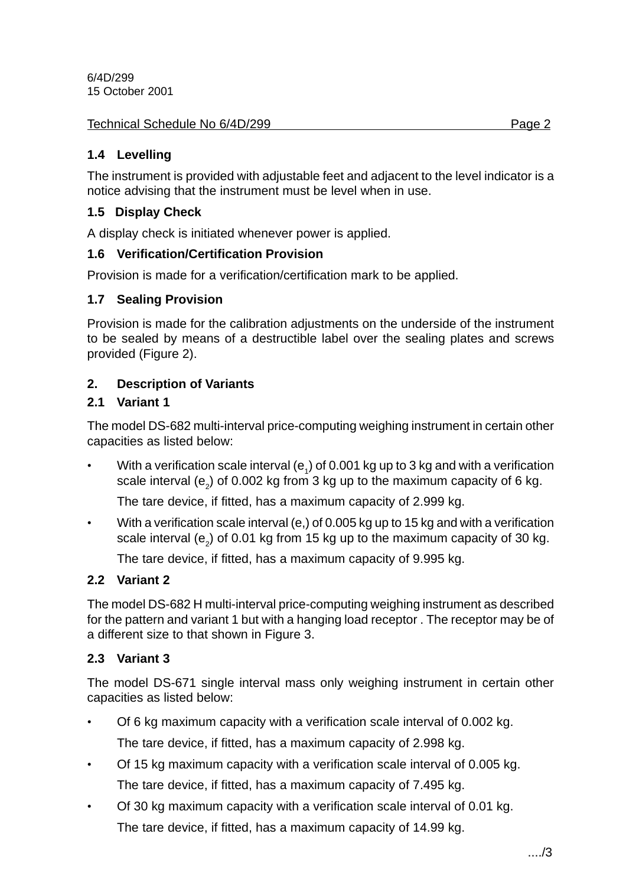#### Technical Schedule No 6/4D/299 **Page 2** Page 2

#### **1.4 Levelling**

The instrument is provided with adjustable feet and adjacent to the level indicator is a notice advising that the instrument must be level when in use.

#### **1.5 Display Check**

A display check is initiated whenever power is applied.

#### **1.6 Verification/Certification Provision**

Provision is made for a verification/certification mark to be applied.

#### **1.7 Sealing Provision**

Provision is made for the calibration adjustments on the underside of the instrument to be sealed by means of a destructible label over the sealing plates and screws provided (Figure 2).

#### **2. Description of Variants**

#### **2.1 Variant 1**

The model DS-682 multi-interval price-computing weighing instrument in certain other capacities as listed below:

• With a verification scale interval (e<sub>1</sub>) of 0.001 kg up to 3 kg and with a verification scale interval (e<sub>2</sub>) of 0.002 kg from 3 kg up to the maximum capacity of 6 kg.

The tare device, if fitted, has a maximum capacity of 2.999 kg.

• With a verification scale interval (e,) of 0.005 kg up to 15 kg and with a verification scale interval (e<sub>2</sub>) of 0.01 kg from 15 kg up to the maximum capacity of 30 kg.

The tare device, if fitted, has a maximum capacity of 9.995 kg.

#### **2.2 Variant 2**

The model DS-682 H multi-interval price-computing weighing instrument as described for the pattern and variant 1 but with a hanging load receptor . The receptor may be of a different size to that shown in Figure 3.

#### **2.3 Variant 3**

The model DS-671 single interval mass only weighing instrument in certain other capacities as listed below:

- Of 6 kg maximum capacity with a verification scale interval of 0.002 kg. The tare device, if fitted, has a maximum capacity of 2.998 kg.
- Of 15 kg maximum capacity with a verification scale interval of 0.005 kg. The tare device, if fitted, has a maximum capacity of 7.495 kg.
- Of 30 kg maximum capacity with a verification scale interval of 0.01 kg. The tare device, if fitted, has a maximum capacity of 14.99 kg.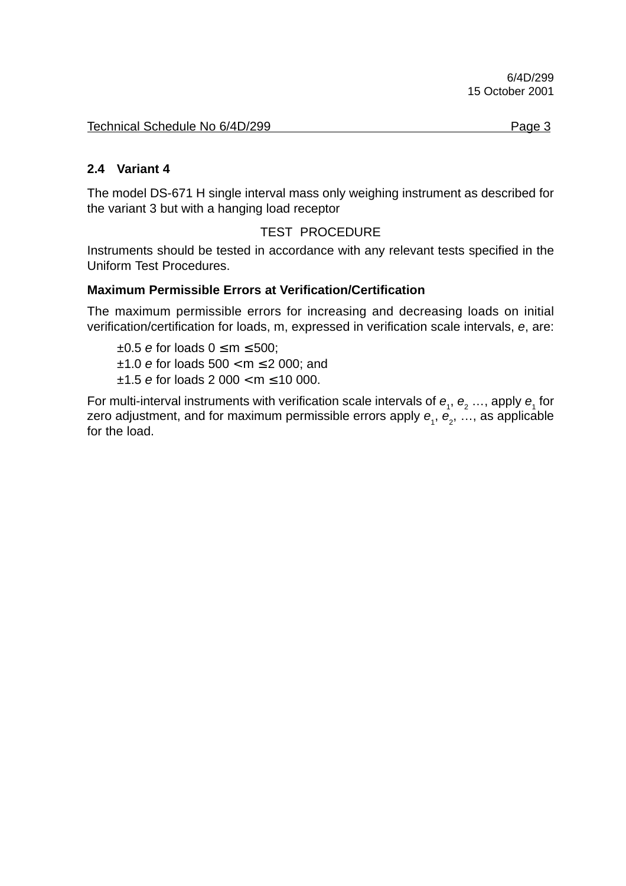#### **2.4 Variant 4**

The model DS-671 H single interval mass only weighing instrument as described for the variant 3 but with a hanging load receptor

#### TEST PROCEDURE

Instruments should be tested in accordance with any relevant tests specified in the Uniform Test Procedures.

#### **Maximum Permissible Errors at Verification/Certification**

The maximum permissible errors for increasing and decreasing loads on initial verification/certification for loads, m, expressed in verification scale intervals, e, are:

 $\pm 0.5$  e for loads  $0 \le m \le 500$ ;  $±1.0$  e for loads  $500 < m \le 2000$ ; and  $±1.5$  e for loads 2 000 < m  $\leq$  10 000.

For multi-interval instruments with verification scale intervals of  $e_1$ ,  $e_2$  ..., apply  $e_1$  for zero adjustment, and for maximum permissible errors apply  $\bm{e}_{_{1}},$   $\bm{e}_{_{2}},$  …, as applicable for the load.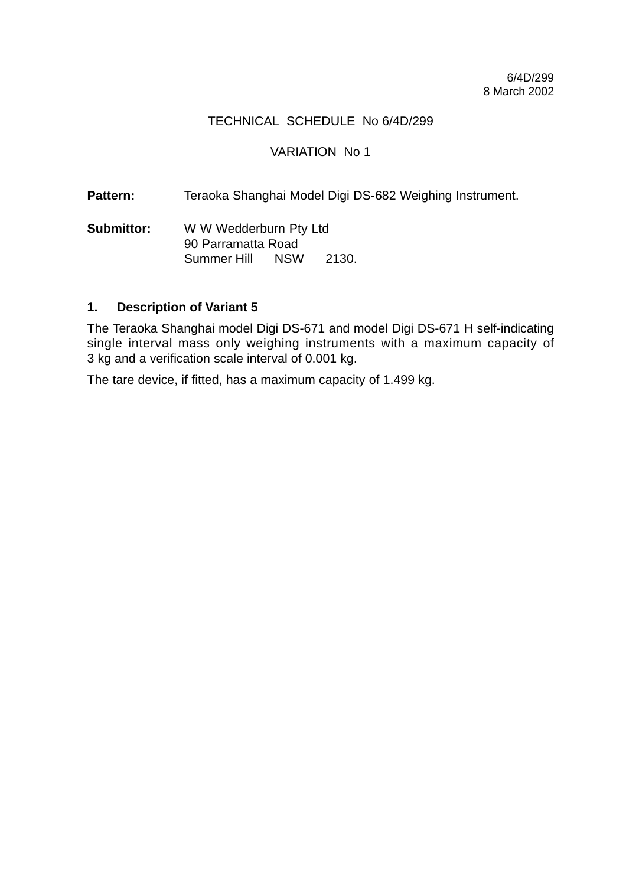#### VARIATION No 1

Pattern: Teraoka Shanghai Model Digi DS-682 Weighing Instrument.

**Submittor:** W W Wedderburn Pty Ltd 90 Parramatta Road Summer Hill NSW 2130.

#### **1. Description of Variant 5**

The Teraoka Shanghai model Digi DS-671 and model Digi DS-671 H self-indicating single interval mass only weighing instruments with a maximum capacity of 3 kg and a verification scale interval of 0.001 kg.

The tare device, if fitted, has a maximum capacity of 1.499 kg.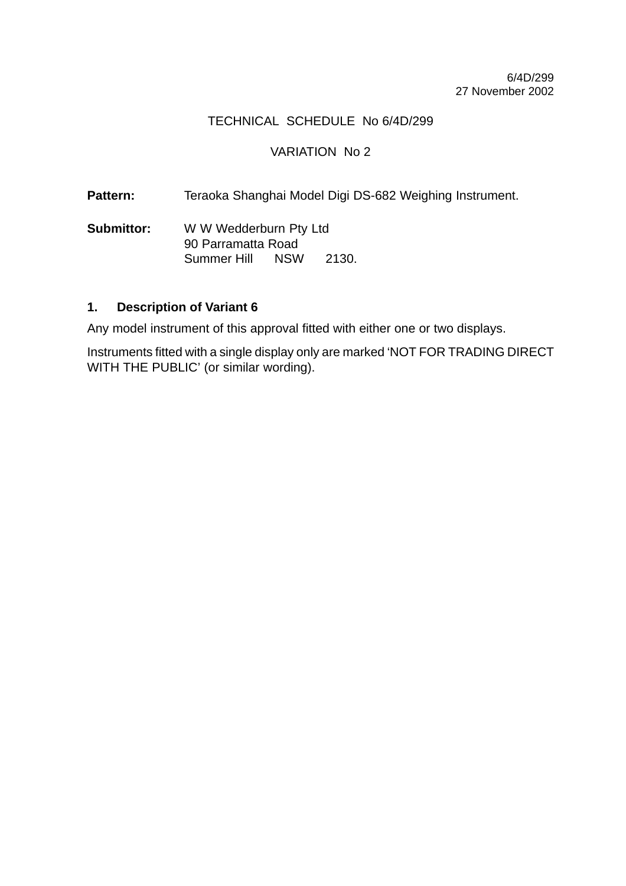#### VARIATION No 2

Pattern: Teraoka Shanghai Model Digi DS-682 Weighing Instrument.

**Submittor:** W W Wedderburn Pty Ltd 90 Parramatta Road Summer Hill NSW 2130.

#### **1. Description of Variant 6**

Any model instrument of this approval fitted with either one or two displays.

Instruments fitted with a single display only are marked 'NOT FOR TRADING DIRECT WITH THE PUBLIC' (or similar wording).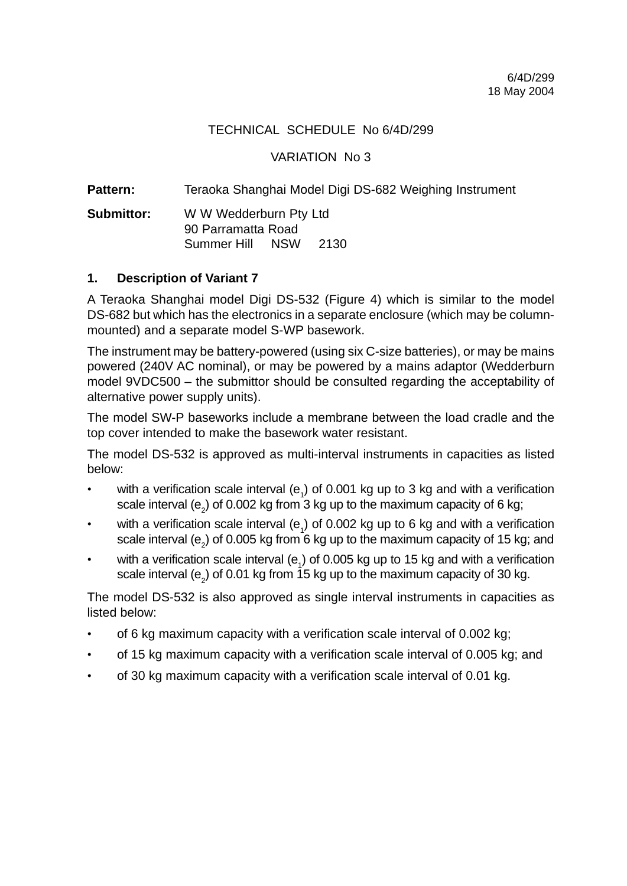VARIATION No 3

**Pattern:** Teraoka Shanghai Model Digi DS-682 Weighing Instrument

**Submittor:** W W Wedderburn Pty Ltd 90 Parramatta Road Summer Hill NSW 2130

#### **1. Description of Variant 7**

A Teraoka Shanghai model Digi DS-532 (Figure 4) which is similar to the model DS-682 but which has the electronics in a separate enclosure (which may be columnmounted) and a separate model S-WP basework.

The instrument may be battery-powered (using six C-size batteries), or may be mains powered (240V AC nominal), or may be powered by a mains adaptor (Wedderburn model 9VDC500 – the submittor should be consulted regarding the acceptability of alternative power supply units).

The model SW-P baseworks include a membrane between the load cradle and the top cover intended to make the basework water resistant.

The model DS-532 is approved as multi-interval instruments in capacities as listed below:

- with a verification scale interval ( $e_1$ ) of 0.001 kg up to 3 kg and with a verification scale interval (e<sub>2</sub>) of 0.002 kg from 3 kg up to the maximum capacity of 6 kg;
- with a verification scale interval ( $e_1$ ) of 0.002 kg up to 6 kg and with a verification scale interval (e<sub>2</sub>) of 0.005 kg from 6 kg up to the maximum capacity of 15 kg; and
- with a verification scale interval ( $e_1$ ) of 0.005 kg up to 15 kg and with a verification scale interval (e<sub>2</sub>) of 0.01 kg from 15 kg up to the maximum capacity of 30 kg.

The model DS-532 is also approved as single interval instruments in capacities as listed below:

- of 6 kg maximum capacity with a verification scale interval of 0.002 kg;
- of 15 kg maximum capacity with a verification scale interval of 0.005 kg; and
- of 30 kg maximum capacity with a verification scale interval of 0.01 kg.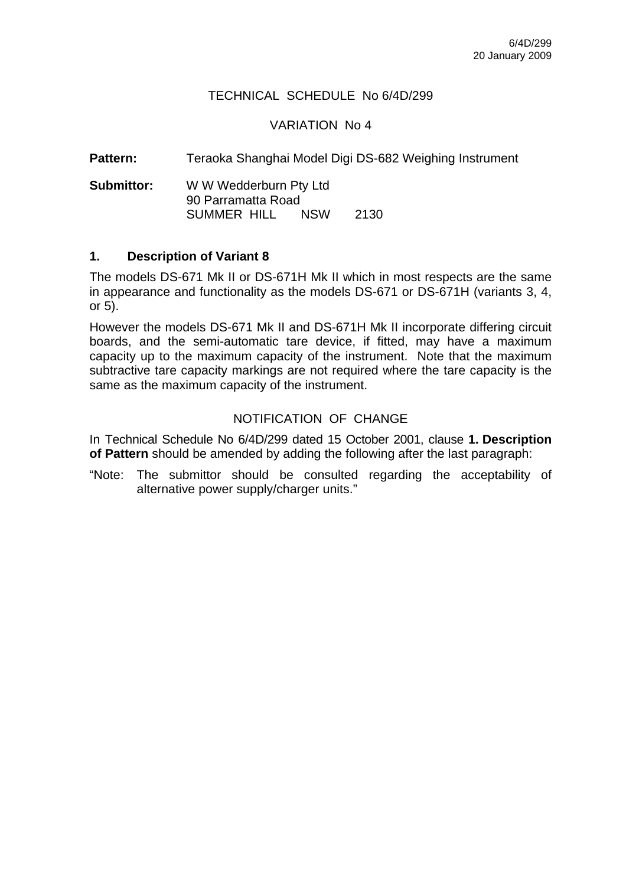#### VARIATION No 4

**Pattern:** Teraoka Shanghai Model Digi DS-682 Weighing Instrument

**Submittor:** W W Wedderburn Pty Ltd 90 Parramatta Road SUMMER HILL NSW 2130

#### **1. Description of Variant 8**

The models DS-671 Mk II or DS-671H Mk II which in most respects are the same in appearance and functionality as the models DS-671 or DS-671H (variants 3, 4, or 5).

However the models DS-671 Mk II and DS-671H Mk II incorporate differing circuit boards, and the semi-automatic tare device, if fitted, may have a maximum capacity up to the maximum capacity of the instrument. Note that the maximum subtractive tare capacity markings are not required where the tare capacity is the same as the maximum capacity of the instrument.

#### NOTIFICATION OF CHANGE

In Technical Schedule No 6/4D/299 dated 15 October 2001, clause **1. Description of Pattern** should be amended by adding the following after the last paragraph:

"Note: The submittor should be consulted regarding the acceptability of alternative power supply/charger units."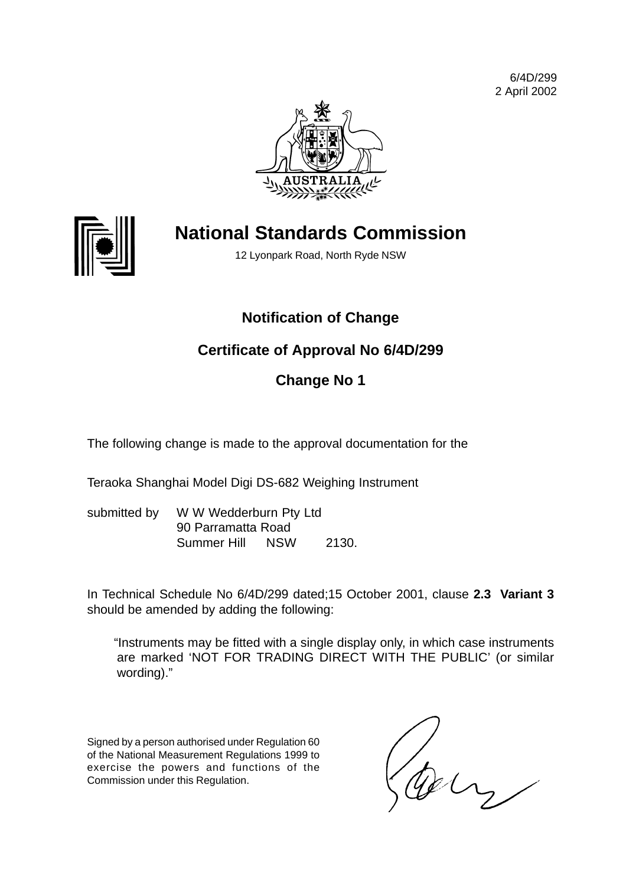6/4D/299 2 April 2002





## **National Standards Commission**

12 Lyonpark Road, North Ryde NSW

## **Notification of Change**

## **Certificate of Approval No 6/4D/299**

## **Change No 1**

The following change is made to the approval documentation for the

Teraoka Shanghai Model Digi DS-682 Weighing Instrument

submitted by W W Wedderburn Pty Ltd 90 Parramatta Road Summer Hill NSW 2130.

In Technical Schedule No 6/4D/299 dated;15 October 2001, clause **2.3 Variant 3** should be amended by adding the following:

"Instruments may be fitted with a single display only, in which case instruments are marked 'NOT FOR TRADING DIRECT WITH THE PUBLIC' (or similar wording)."

Signed by a person authorised under Regulation 60 of the National Measurement Regulations 1999 to exercise the powers and functions of the Commission under this Regulation.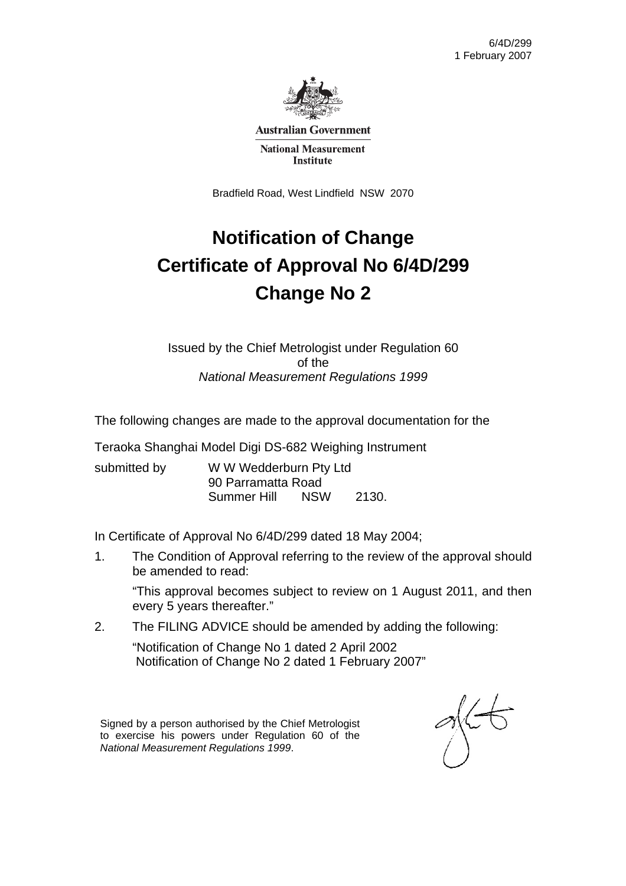

**Australian Government** 

**National Measurement Institute** 

Bradfield Road, West Lindfield NSW 2070

# **Notification of Change Certificate of Approval No 6/4D/299 Change No 2**

Issued by the Chief Metrologist under Regulation 60 of the *National Measurement Regulations 1999* 

The following changes are made to the approval documentation for the

Teraoka Shanghai Model Digi DS-682 Weighing Instrument

| submitted by | W W Wedderburn Pty Ltd<br>90 Parramatta Road |  |  |
|--------------|----------------------------------------------|--|--|
|              |                                              |  |  |

In Certificate of Approval No 6/4D/299 dated 18 May 2004;

1. The Condition of Approval referring to the review of the approval should be amended to read:

 "This approval becomes subject to review on 1 August 2011, and then every 5 years thereafter."

2. The FILING ADVICE should be amended by adding the following:

 "Notification of Change No 1 dated 2 April 2002 Notification of Change No 2 dated 1 February 2007"

Signed by a person authorised by the Chief Metrologist to exercise his powers under Regulation 60 of the *National Measurement Regulations 1999*.

 $\frac{1}{2}$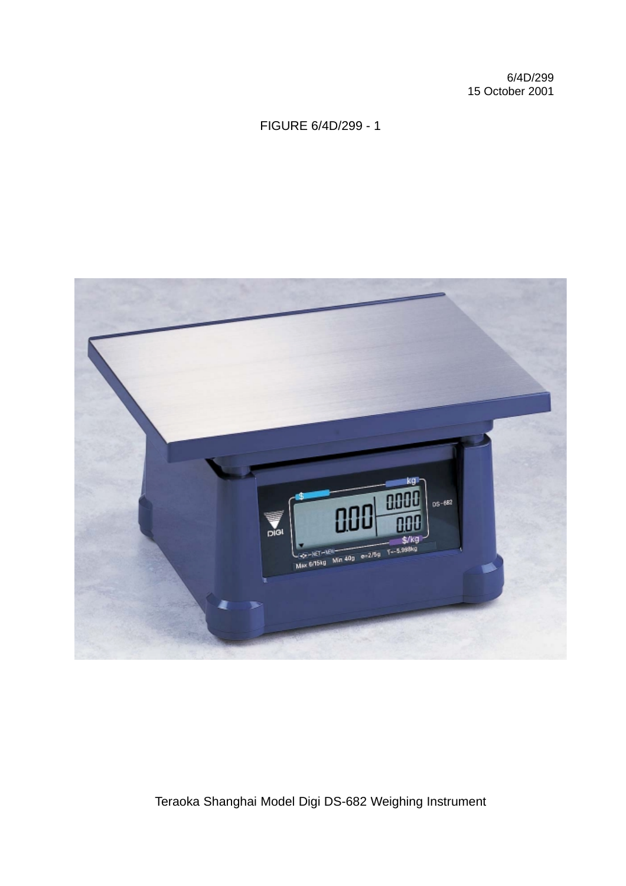### FIGURE 6/4D/299 - 1



Teraoka Shanghai Model Digi DS-682 Weighing Instrument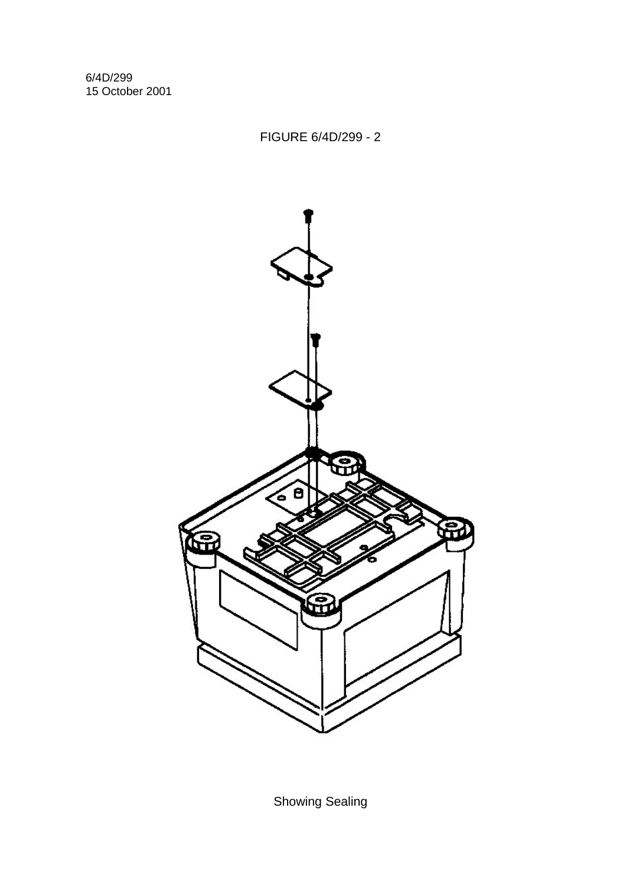FIGURE 6/4D/299 - 2



Showing Sealing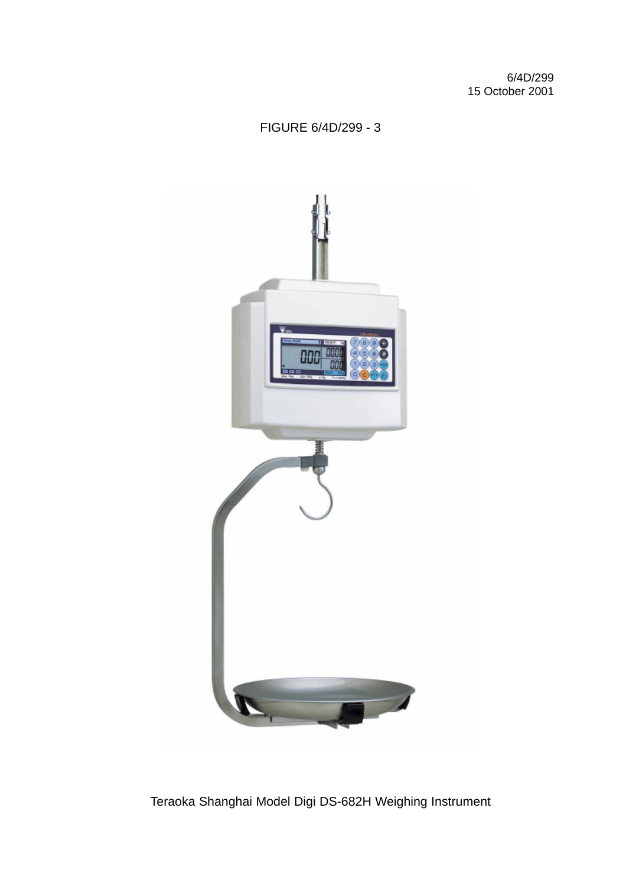### FIGURE 6/4D/299 - 3



Teraoka Shanghai Model Digi DS-682H Weighing Instrument